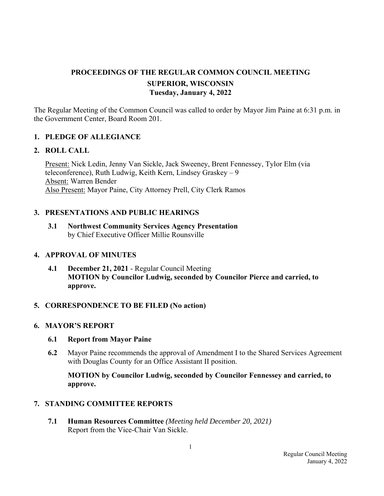# **PROCEEDINGS OF THE REGULAR COMMON COUNCIL MEETING SUPERIOR, WISCONSIN Tuesday, January 4, 2022**

The Regular Meeting of the Common Council was called to order by Mayor Jim Paine at 6:31 p.m. in the Government Center, Board Room 201.

### **1. PLEDGE OF ALLEGIANCE**

#### **2. ROLL CALL**

Present: Nick Ledin, Jenny Van Sickle, Jack Sweeney, Brent Fennessey, Tylor Elm (via teleconference), Ruth Ludwig, Keith Kern, Lindsey Graskey – 9 Absent: Warren Bender Also Present: Mayor Paine, City Attorney Prell, City Clerk Ramos

#### **3. PRESENTATIONS AND PUBLIC HEARINGS**

 **3.1 Northwest Community Services Agency Presentation**  by Chief Executive Officer Millie Rounsville

#### **4. APPROVAL OF MINUTES**

**4.1 December 21, 2021** - Regular Council Meeting **MOTION by Councilor Ludwig, seconded by Councilor Pierce and carried, to approve.**

#### **5. CORRESPONDENCE TO BE FILED (No action)**

#### **6. MAYOR'S REPORT**

#### **6.1 Report from Mayor Paine**

 **6.2** Mayor Paine recommends the approval of Amendment I to the Shared Services Agreement with Douglas County for an Office Assistant II position.

 **MOTION by Councilor Ludwig, seconded by Councilor Fennessey and carried, to approve.**

#### **7. STANDING COMMITTEE REPORTS**

 **7.1 Human Resources Committee** *(Meeting held December 20, 2021)*  Report from the Vice-Chair Van Sickle.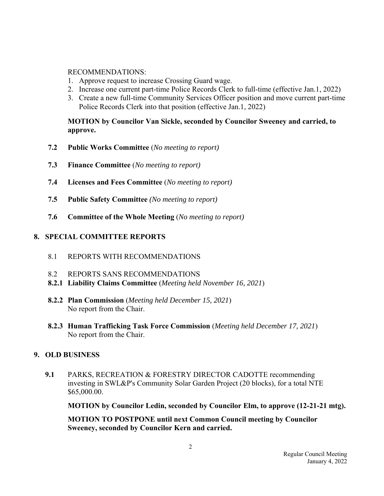#### RECOMMENDATIONS:

- 1. Approve request to increase Crossing Guard wage.
- 2. Increase one current part-time Police Records Clerk to full-time (effective Jan.1, 2022)
- 3. Create a new full-time Community Services Officer position and move current part-time Police Records Clerk into that position (effective Jan.1, 2022)

 **MOTION by Councilor Van Sickle, seconded by Councilor Sweeney and carried, to approve.** 

- **7.2 Public Works Committee** (*No meeting to report)*
- **7.3 Finance Committee** (*No meeting to report)*
- **7.4 Licenses and Fees Committee** (*No meeting to report)*
- **7.5 Public Safety Committee** *(No meeting to report)*
- **7.6 Committee of the Whole Meeting** (*No meeting to report)*

### **8. SPECIAL COMMITTEE REPORTS**

- 8.1 REPORTS WITH RECOMMENDATIONS
- 8.2 REPORTS SANS RECOMMENDATIONS
- **8.2.1 Liability Claims Committee** (*Meeting held November 16, 2021*)
- **8.2.2 Plan Commission** (*Meeting held December 15, 2021*) No report from the Chair.
- **8.2.3 Human Trafficking Task Force Commission** (*Meeting held December 17, 2021*) No report from the Chair.

### **9. OLD BUSINESS**

 **9.1** PARKS, RECREATION & FORESTRY DIRECTOR CADOTTE recommending investing in SWL&P's Community Solar Garden Project (20 blocks), for a total NTE \$65,000.00.

 **MOTION by Councilor Ledin, seconded by Councilor Elm, to approve (12-21-21 mtg).** 

 **MOTION TO POSTPONE until next Common Council meeting by Councilor Sweeney, seconded by Councilor Kern and carried.**